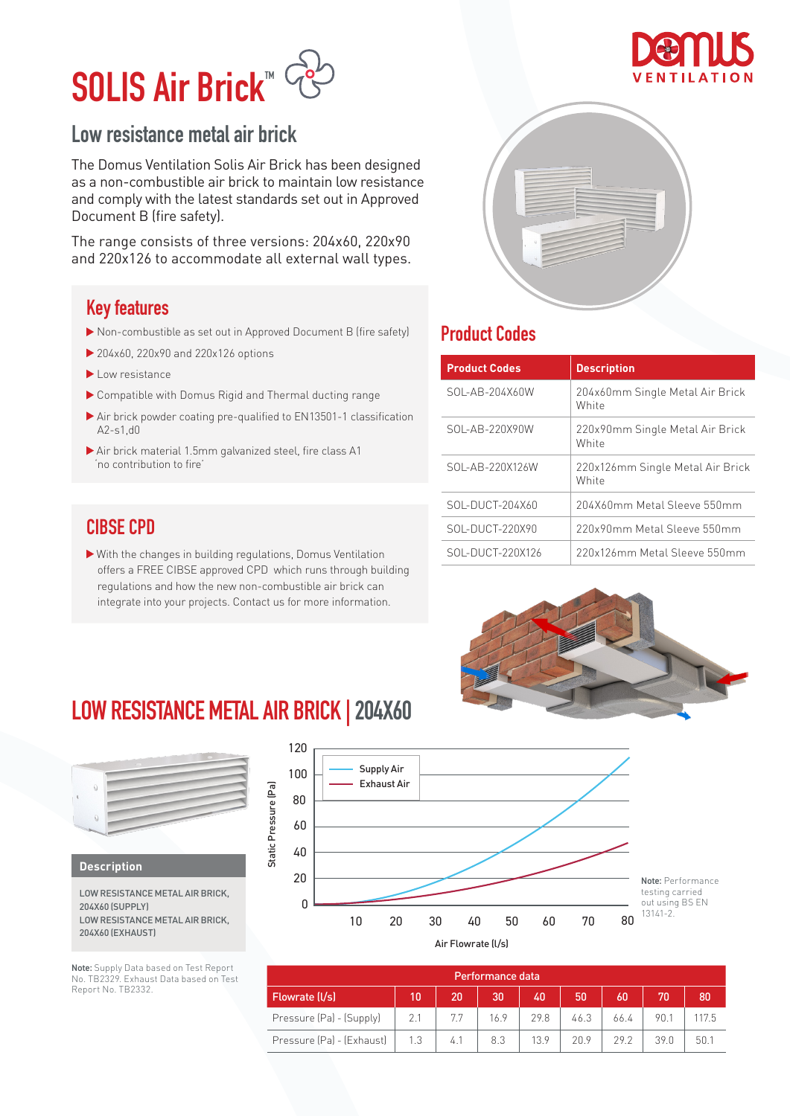# SOLIS Air Brick™

### Low resistance metal air brick

The Domus Ventilation Solis Air Brick has been designed as a non-combustible air brick to maintain low resistance and comply with the latest standards set out in Approved Document B (fire safety).

The range consists of three versions: 204x60, 220x90 and 220x126 to accommodate all external wall types.

### Key features

- Non-combustible as set out in Approved Document B (fire safety)
- ▶ 204x60, 220x90 and 220x126 options
- Low resistance
- Compatible with Domus Rigid and Thermal ducting range
- Air brick powder coating pre-qualified to EN13501-1 classification A2-s1,d0
- Air brick material 1.5mm galvanized steel, fire class A1 'no contribution to fire'

### CIBSE CPD

 With the changes in building regulations, Domus Ventilation offers a FREE CIBSE approved CPD which runs through building regulations and how the new non-combustible air brick can integrate into your projects. Contact us for more information.



### Product Codes

| <b>Product Codes</b> | <b>Description</b>                        |
|----------------------|-------------------------------------------|
| SOL-AB-204X60W       | 204x60mm Single Metal Air Brick<br>White  |
| SOL-AB-220X90W       | 220x90mm Single Metal Air Brick<br>White  |
| SOL-AB-220X126W      | 220x126mm Single Metal Air Brick<br>White |
| SOL-DUCT-204X60      | 204X60mm Metal Sleeve 550mm               |
| SOL-DUCT-220X90      | 220x90mm Metal Sleeve 550mm               |
| SOL-DUCT-220X126     | 220x126mm Metal Sleeve 550mm              |



### **LOW RESISTANCE METAL AIR BRICK | 204X60**



**Description**

LOW RESISTANCE METAL AIR BRICK, 204X60 (SUPPLY) LOW RESISTANCE METAL AIR BRICK, 204X60 (EXHAUST)

Note: Supply Data based on Test Report No. TB2329. Exhaust Data based on Test Report No. TB2332.



|                           |     |     | Performance data |      |      |      |     |       |
|---------------------------|-----|-----|------------------|------|------|------|-----|-------|
| Flowrate (I/s)            | 10  | 20  | 30               | 40   | 50   | 60   |     | 80    |
| Pressure (Pa) - (Supply)  | 2.1 | 7.7 | 16.9             | 29.8 | 46.3 | 66.4 | 901 | 117.5 |
| Pressure (Pa) - (Exhaust) | 1.3 | 4.1 | 8.3              | 13.9 | 20.9 | 292  | 390 | 50.1  |

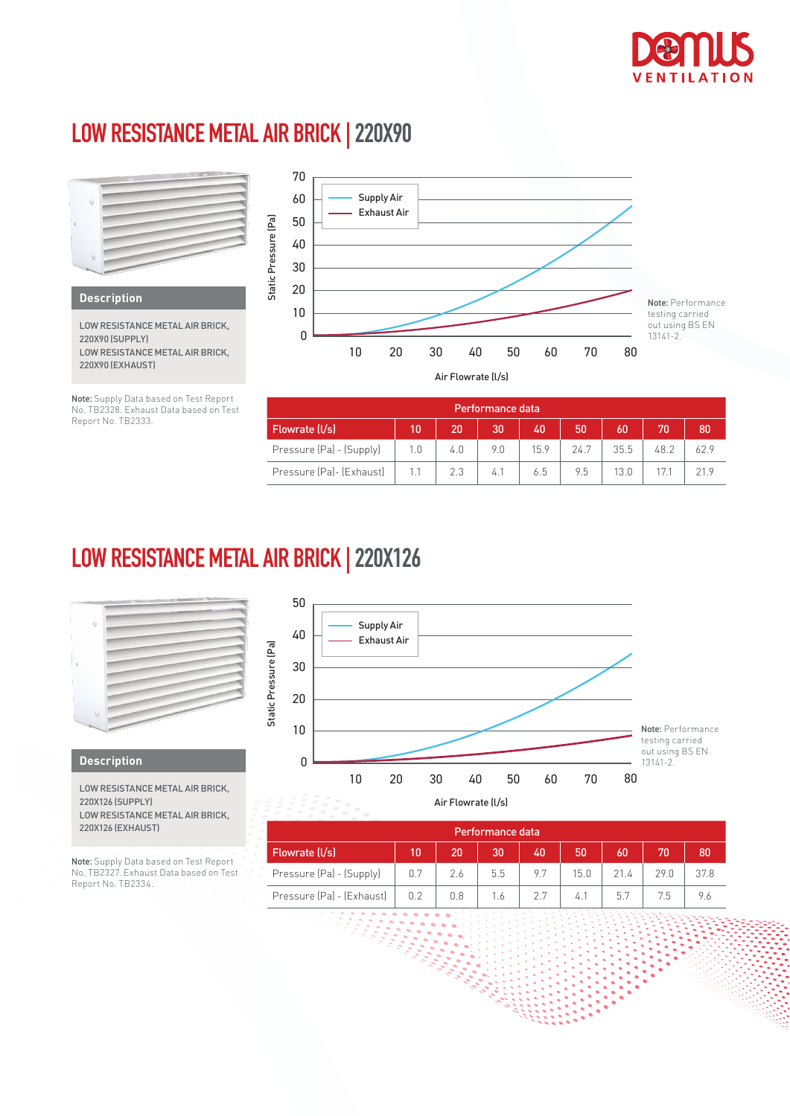

 $\ddot{\phantom{0}}$  $\ddot{\phantom{0}}$  $\ddot{\phantom{0}}$  $\ddot{\phantom{a}}$ 

### **LOW RESISTANCE METAL AIR BRICK | 220X90**



Note: Supply Data based on Test Report No. TB2328. Exhaust Data based on Test Report No. TB2333.

| Performance data.        |     |     |     |      |      |      |      |     |
|--------------------------|-----|-----|-----|------|------|------|------|-----|
| Flowrate (I/s)           | 10  | 20  | 30  | 40   | 50   | 60   | 70   | 80  |
| Pressure (Pa) - (Supply) | 1.0 | 4.0 | 9.0 | 15.9 | 24.7 | 35.5 | 48.2 | 629 |
| Pressure (Pa)- (Exhaust) |     | 2.3 | 4.1 | 6.5  | 9.5  | 13.0 |      |     |

### **LOW RESISTANCE METAL AIR BRICK | 220X126**



#### **Description**

LOW RESISTANCE METAL AIR BRICK, 220X126 (SUPPLY) LOW RESISTANCE METAL AIR BRICK, 220X126 (EXHAUST)

Note: Supply Data based on Test Report No. TB2327. Exhaust Data based on Test Report No. TB2334.



|                           |     |     | Performance data. |     |      |                 |      |      |
|---------------------------|-----|-----|-------------------|-----|------|-----------------|------|------|
| Flowrate (I/s)            | 10  | 20  | 30                | 40  | 50   | 60              |      | 80   |
| Pressure (Pa) - (Supply)  | 0.7 | 2.6 | 5.5               | 9.7 | 15.0 | 21 <sub>4</sub> | 29.0 | 37.8 |
| Pressure (Pa) - (Exhaust) | 0.2 | 0.8 | 1.6               |     | 4.1  | 5.7             | 7.5  | 9.6  |

3